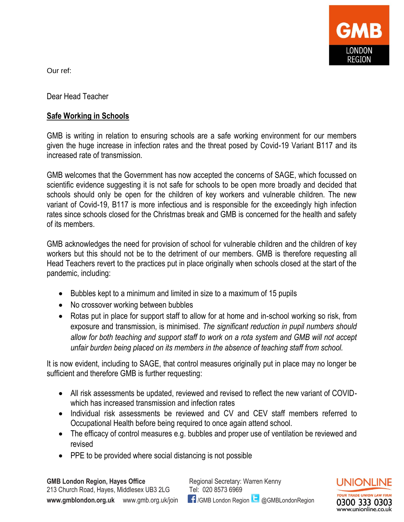

Our ref:

Dear Head Teacher

## **Safe Working in Schools**

GMB is writing in relation to ensuring schools are a safe working environment for our members given the huge increase in infection rates and the threat posed by Covid-19 Variant B117 and its increased rate of transmission.

GMB welcomes that the Government has now accepted the concerns of SAGE, which focussed on scientific evidence suggesting it is not safe for schools to be open more broadly and decided that schools should only be open for the children of key workers and vulnerable children. The new variant of Covid-19, B117 is more infectious and is responsible for the exceedingly high infection rates since schools closed for the Christmas break and GMB is concerned for the health and safety of its members.

GMB acknowledges the need for provision of school for vulnerable children and the children of key workers but this should not be to the detriment of our members. GMB is therefore requesting all Head Teachers revert to the practices put in place originally when schools closed at the start of the pandemic, including:

- Bubbles kept to a minimum and limited in size to a maximum of 15 pupils
- No crossover working between bubbles
- Rotas put in place for support staff to allow for at home and in-school working so risk, from exposure and transmission, is minimised. *The significant reduction in pupil numbers should allow for both teaching and support staff to work on a rota system and GMB will not accept unfair burden being placed on its members in the absence of teaching staff from school.*

It is now evident, including to SAGE, that control measures originally put in place may no longer be sufficient and therefore GMB is further requesting:

- All risk assessments be updated, reviewed and revised to reflect the new variant of COVIDwhich has increased transmission and infection rates
- Individual risk assessments be reviewed and CV and CEV staff members referred to Occupational Health before being required to once again attend school.
- The efficacy of control measures e.g. bubbles and proper use of ventilation be reviewed and revised
- PPE to be provided where social distancing is not possible

**GMB London Region, Hayes Office** Regional Secretary: Warren Kenny 213 Church Road, Hayes, Middlesex UB3 2LG Tel: 020 8573 6969

**www.gmblondon.org.uk** www.gmb.org.uk/join **f** /GMB London Region **&** @GMBLondonRegion